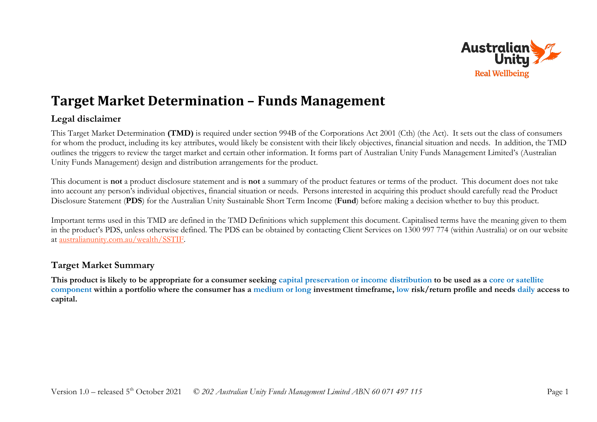

# **Target Market Determination – Funds Management**

## **Legal disclaimer**

This Target Market Determination **(TMD)** is required under section 994B of the Corporations Act 2001 (Cth) (the Act). It sets out the class of consumers for whom the product, including its key attributes, would likely be consistent with their likely objectives, financial situation and needs. In addition, the TMD outlines the triggers to review the target market and certain other information. It forms part of Australian Unity Funds Management Limited's (Australian Unity Funds Management) design and distribution arrangements for the product.

This document is **not** a product disclosure statement and is **not** a summary of the product features or terms of the product. This document does not take into account any person's individual objectives, financial situation or needs. Persons interested in acquiring this product should carefully read the Product Disclosure Statement (**PDS**) for the Australian Unity Sustainable Short Term Income (**Fund**) before making a decision whether to buy this product.

Important terms used in this TMD are defined in the TMD Definitions which supplement this document. Capitalised terms have the meaning given to them in the product's PDS, unless otherwise defined. The PDS can be obtained by contacting Client Services on 1300 997 774 (within Australia) or on our website at [australianunity.com.au/wealth/SSTIF.](https://www.australianunity.com.au/wealth/~/media/publicsite/documents/funds/altius/altius%20enhanced%20cash%20fund/sstif%20pds%20retail%20final.ashx)

## **Target Market Summary**

**This product is likely to be appropriate for a consumer seeking capital preservation or income distribution to be used as a core or satellite component within a portfolio where the consumer has a medium or long investment timeframe, low risk/return profile and needs daily access to capital.**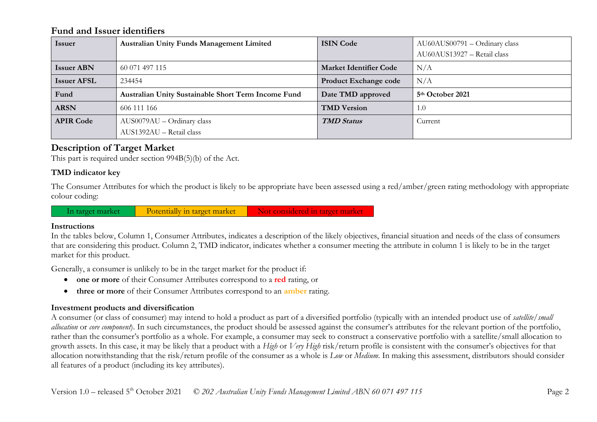### **Fund and Issuer identifiers**

| <b>Issuer</b>      | <b>Australian Unity Funds Management Limited</b>    | <b>ISIN Code</b>              | AU60AUS00791 - Ordinary class |
|--------------------|-----------------------------------------------------|-------------------------------|-------------------------------|
|                    |                                                     |                               | AU60AUS13927 - Retail class   |
| <b>Issuer ABN</b>  | 60 071 497 115                                      | <b>Market Identifier Code</b> | N/A                           |
| <b>Issuer AFSL</b> | 234454                                              | Product Exchange code         | N/A                           |
| Fund               | Australian Unity Sustainable Short Term Income Fund | Date TMD approved             | 5 <sup>th</sup> October 2021  |
| <b>ARSN</b>        | 606 111 166                                         | <b>TMD Version</b>            | 1.0                           |
| <b>APIR Code</b>   | $AUS0079AU - Ordinary class$                        | <b>TMD</b> Status             | Current                       |
|                    | AUS1392AU - Retail class                            |                               |                               |

# **Description of Target Market**

This part is required under section 994B(5)(b) of the Act.

#### **TMD indicator key**

The Consumer Attributes for which the product is likely to be appropriate have been assessed using a red/amber/green rating methodology with appropriate colour coding:

In target market Potentially in target market Not considered in target market

#### **Instructions**

In the tables below, Column 1, Consumer Attributes, indicates a description of the likely objectives, financial situation and needs of the class of consumers that are considering this product. Column 2, TMD indicator, indicates whether a consumer meeting the attribute in column 1 is likely to be in the target market for this product.

Generally, a consumer is unlikely to be in the target market for the product if:

- **one or more** of their Consumer Attributes correspond to a **red** rating, or
- **three or more** of their Consumer Attributes correspond to an **amber** rating.

### **Investment products and diversification**

A consumer (or class of consumer) may intend to hold a product as part of a diversified portfolio (typically with an intended product use of *satellite/small allocation* or *core component*). In such circumstances, the product should be assessed against the consumer's attributes for the relevant portion of the portfolio, rather than the consumer's portfolio as a whole. For example, a consumer may seek to construct a conservative portfolio with a satellite/small allocation to growth assets. In this case, it may be likely that a product with a *High* or *Very High* risk/return profile is consistent with the consumer's objectives for that allocation notwithstanding that the risk/return profile of the consumer as a whole is *Low* or *Medium*. In making this assessment, distributors should consider all features of a product (including its key attributes).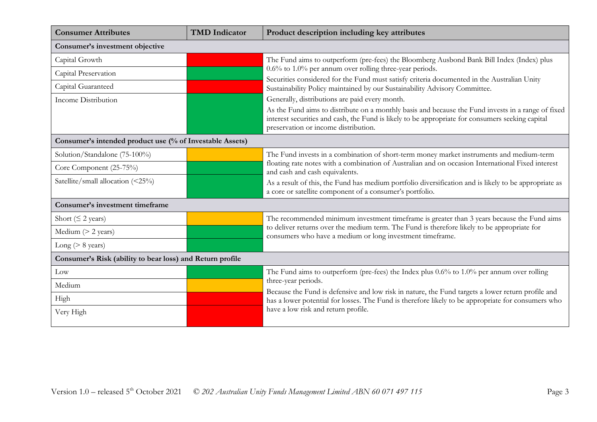| <b>Consumer Attributes</b>                                | <b>TMD</b> Indicator | Product description including key attributes                                                                                                                                                                                                   |  |
|-----------------------------------------------------------|----------------------|------------------------------------------------------------------------------------------------------------------------------------------------------------------------------------------------------------------------------------------------|--|
| Consumer's investment objective                           |                      |                                                                                                                                                                                                                                                |  |
| Capital Growth                                            |                      | The Fund aims to outperform (pre-fees) the Bloomberg Ausbond Bank Bill Index (Index) plus                                                                                                                                                      |  |
| Capital Preservation                                      |                      | $0.6\%$ to 1.0% per annum over rolling three-year periods.                                                                                                                                                                                     |  |
| Capital Guaranteed                                        |                      | Securities considered for the Fund must satisfy criteria documented in the Australian Unity<br>Sustainability Policy maintained by our Sustainability Advisory Committee.                                                                      |  |
| <b>Income Distribution</b>                                |                      | Generally, distributions are paid every month.                                                                                                                                                                                                 |  |
|                                                           |                      | As the Fund aims to distribute on a monthly basis and because the Fund invests in a range of fixed<br>interest securities and cash, the Fund is likely to be appropriate for consumers seeking capital<br>preservation or income distribution. |  |
| Consumer's intended product use (% of Investable Assets)  |                      |                                                                                                                                                                                                                                                |  |
| Solution/Standalone (75-100%)                             |                      | The Fund invests in a combination of short-term money market instruments and medium-term                                                                                                                                                       |  |
| Core Component (25-75%)                                   |                      | floating rate notes with a combination of Australian and on occasion International Fixed interest<br>and cash and cash equivalents.                                                                                                            |  |
| Satellite/small allocation (<25%)                         |                      | As a result of this, the Fund has medium portfolio diversification and is likely to be appropriate as<br>a core or satellite component of a consumer's portfolio.                                                                              |  |
| <b>Consumer's investment timeframe</b>                    |                      |                                                                                                                                                                                                                                                |  |
| Short ( $\leq$ 2 years)                                   |                      | The recommended minimum investment timeframe is greater than 3 years because the Fund aims                                                                                                                                                     |  |
| Medium $(> 2$ years)                                      |                      | to deliver returns over the medium term. The Fund is therefore likely to be appropriate for<br>consumers who have a medium or long investment timeframe.                                                                                       |  |
| Long ( $> 8$ years)                                       |                      |                                                                                                                                                                                                                                                |  |
| Consumer's Risk (ability to bear loss) and Return profile |                      |                                                                                                                                                                                                                                                |  |
| Low                                                       |                      | The Fund aims to outperform (pre-fees) the Index plus 0.6% to 1.0% per annum over rolling                                                                                                                                                      |  |
| Medium                                                    |                      | three-year periods.                                                                                                                                                                                                                            |  |
| High                                                      |                      | Because the Fund is defensive and low risk in nature, the Fund targets a lower return profile and<br>has a lower potential for losses. The Fund is therefore likely to be appropriate for consumers who                                        |  |
| Very High                                                 |                      | have a low risk and return profile.                                                                                                                                                                                                            |  |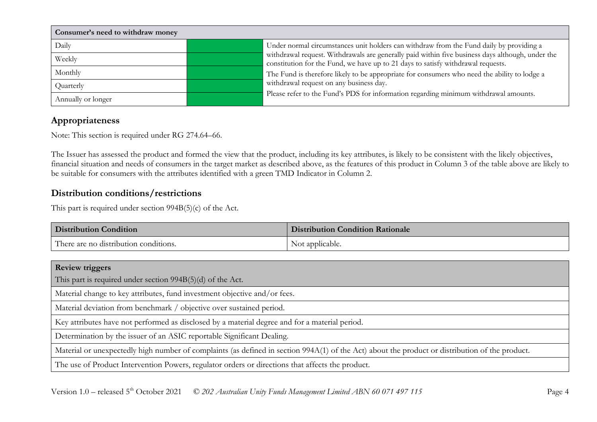| Consumer's need to withdraw money |                                                                                                                                                                                      |  |
|-----------------------------------|--------------------------------------------------------------------------------------------------------------------------------------------------------------------------------------|--|
| Daily                             | Under normal circumstances unit holders can withdraw from the Fund daily by providing a                                                                                              |  |
| Weekly                            | withdrawal request. Withdrawals are generally paid within five business days although, under the<br>constitution for the Fund, we have up to 21 days to satisfy withdrawal requests. |  |
| Monthly                           | The Fund is therefore likely to be appropriate for consumers who need the ability to lodge a                                                                                         |  |
| Quarterly                         | withdrawal request on any business day.                                                                                                                                              |  |
| Annually or longer                | Please refer to the Fund's PDS for information regarding minimum withdrawal amounts.                                                                                                 |  |

## **Appropriateness**

Note: This section is required under RG 274.64–66.

The Issuer has assessed the product and formed the view that the product, including its key attributes, is likely to be consistent with the likely objectives, financial situation and needs of consumers in the target market as described above, as the features of this product in Column 3 of the table above are likely to be suitable for consumers with the attributes identified with a green TMD Indicator in Column 2.

# **Distribution conditions/restrictions**

This part is required under section 994B(5)(c) of the Act.

| <b>Distribution Condition</b>         | <b>Distribution Condition Rationale</b> |
|---------------------------------------|-----------------------------------------|
| There are no distribution conditions. | Not applicable.                         |

| <b>Review triggers</b>                                                                                                                          |  |
|-------------------------------------------------------------------------------------------------------------------------------------------------|--|
| This part is required under section $994B(5)(d)$ of the Act.                                                                                    |  |
| Material change to key attributes, fund investment objective and/or fees.                                                                       |  |
| Material deviation from benchmark / objective over sustained period.                                                                            |  |
| Key attributes have not performed as disclosed by a material degree and for a material period.                                                  |  |
| Determination by the issuer of an ASIC reportable Significant Dealing.                                                                          |  |
| Material or unexpectedly high number of complaints (as defined in section 994A(1) of the Act) about the product or distribution of the product. |  |
| The use of Product Intervention Powers, regulator orders or directions that affects the product.                                                |  |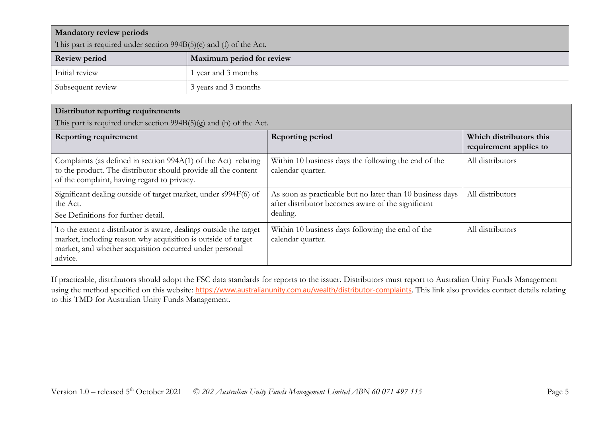| <b>Mandatory review periods</b>                                      |                           |  |
|----------------------------------------------------------------------|---------------------------|--|
| This part is required under section $994B(5)(e)$ and (f) of the Act. |                           |  |
| <b>Review period</b>                                                 | Maximum period for review |  |
| Initial review                                                       | l year and 3 months       |  |
| Subsequent review                                                    | 3 years and 3 months      |  |

#### **Distributor reporting requirements**

This part is required under section 994B(5)(g) and (h) of the Act.

| <b>Reporting requirement</b>                                                                                                                                                                             | <b>Reporting period</b>                                                                                                     | Which distributors this<br>requirement applies to |
|----------------------------------------------------------------------------------------------------------------------------------------------------------------------------------------------------------|-----------------------------------------------------------------------------------------------------------------------------|---------------------------------------------------|
| Complaints (as defined in section 994A(1) of the Act) relating<br>to the product. The distributor should provide all the content<br>of the complaint, having regard to privacy.                          | Within 10 business days the following the end of the<br>calendar quarter.                                                   | All distributors                                  |
| Significant dealing outside of target market, under s994F(6) of<br>the Act.<br>See Definitions for further detail.                                                                                       | As soon as practicable but no later than 10 business days<br>after distributor becomes aware of the significant<br>dealing. | All distributors                                  |
| To the extent a distributor is aware, dealings outside the target<br>market, including reason why acquisition is outside of target<br>market, and whether acquisition occurred under personal<br>advice. | Within 10 business days following the end of the<br>calendar quarter.                                                       | All distributors                                  |

If practicable, distributors should adopt the FSC data standards for reports to the issuer. Distributors must report to Australian Unity Funds Management using the method specified on this website: <https://www.australianunity.com.au/wealth/distributor-complaints>. This link also provides contact details relating to this TMD for Australian Unity Funds Management.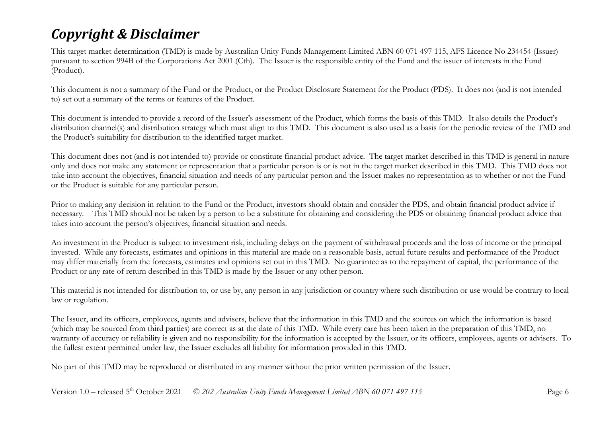# *Copyright & Disclaimer*

This target market determination (TMD) is made by Australian Unity Funds Management Limited ABN 60 071 497 115, AFS Licence No 234454 (Issuer) pursuant to section 994B of the Corporations Act 2001 (Cth). The Issuer is the responsible entity of the Fund and the issuer of interests in the Fund (Product).

This document is not a summary of the Fund or the Product, or the Product Disclosure Statement for the Product (PDS). It does not (and is not intended to) set out a summary of the terms or features of the Product.

This document is intended to provide a record of the Issuer's assessment of the Product, which forms the basis of this TMD. It also details the Product's distribution channel(s) and distribution strategy which must align to this TMD. This document is also used as a basis for the periodic review of the TMD and the Product's suitability for distribution to the identified target market.

This document does not (and is not intended to) provide or constitute financial product advice. The target market described in this TMD is general in nature only and does not make any statement or representation that a particular person is or is not in the target market described in this TMD. This TMD does not take into account the objectives, financial situation and needs of any particular person and the Issuer makes no representation as to whether or not the Fund or the Product is suitable for any particular person.

Prior to making any decision in relation to the Fund or the Product, investors should obtain and consider the PDS, and obtain financial product advice if necessary. This TMD should not be taken by a person to be a substitute for obtaining and considering the PDS or obtaining financial product advice that takes into account the person's objectives, financial situation and needs.

An investment in the Product is subject to investment risk, including delays on the payment of withdrawal proceeds and the loss of income or the principal invested. While any forecasts, estimates and opinions in this material are made on a reasonable basis, actual future results and performance of the Product may differ materially from the forecasts, estimates and opinions set out in this TMD. No guarantee as to the repayment of capital, the performance of the Product or any rate of return described in this TMD is made by the Issuer or any other person.

This material is not intended for distribution to, or use by, any person in any jurisdiction or country where such distribution or use would be contrary to local law or regulation.

The Issuer, and its officers, employees, agents and advisers, believe that the information in this TMD and the sources on which the information is based (which may be sourced from third parties) are correct as at the date of this TMD. While every care has been taken in the preparation of this TMD, no warranty of accuracy or reliability is given and no responsibility for the information is accepted by the Issuer, or its officers, employees, agents or advisers. To the fullest extent permitted under law, the Issuer excludes all liability for information provided in this TMD.

No part of this TMD may be reproduced or distributed in any manner without the prior written permission of the Issuer.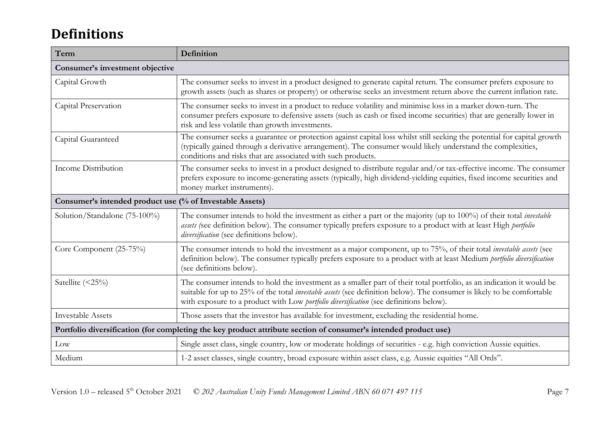# **Definitions**

| Term                                                                                                            | Definition                                                                                                                                                                                                                                                                                                                                      |  |
|-----------------------------------------------------------------------------------------------------------------|-------------------------------------------------------------------------------------------------------------------------------------------------------------------------------------------------------------------------------------------------------------------------------------------------------------------------------------------------|--|
| Consumer's investment objective                                                                                 |                                                                                                                                                                                                                                                                                                                                                 |  |
| Capital Growth                                                                                                  | The consumer seeks to invest in a product designed to generate capital return. The consumer prefers exposure to<br>growth assets (such as shares or property) or otherwise seeks an investment return above the current inflation rate.                                                                                                         |  |
| Capital Preservation                                                                                            | The consumer seeks to invest in a product to reduce volatility and minimise loss in a market down-turn. The<br>consumer prefers exposure to defensive assets (such as cash or fixed income securities) that are generally lower in<br>risk and less volatile than growth investments.                                                           |  |
| Capital Guaranteed                                                                                              | The consumer seeks a guarantee or protection against capital loss whilst still seeking the potential for capital growth<br>(typically gained through a derivative arrangement). The consumer would likely understand the complexities,<br>conditions and risks that are associated with such products.                                          |  |
| Income Distribution                                                                                             | The consumer seeks to invest in a product designed to distribute regular and/or tax-effective income. The consumer<br>prefers exposure to income-generating assets (typically, high dividend-yielding equities, fixed income securities and<br>money market instruments).                                                                       |  |
| Consumer's intended product use (% of Investable Assets)                                                        |                                                                                                                                                                                                                                                                                                                                                 |  |
| Solution/Standalone (75-100%)                                                                                   | The consumer intends to hold the investment as either a part or the majority (up to 100%) of their total <i>investable</i><br>assets (see definition below). The consumer typically prefers exposure to a product with at least High portfolio<br>diversification (see definitions below).                                                      |  |
| Core Component (25-75%)                                                                                         | The consumer intends to hold the investment as a major component, up to 75%, of their total <i>investable assets</i> (see<br>definition below). The consumer typically prefers exposure to a product with at least Medium portfolio diversification<br>(see definitions below).                                                                 |  |
| Satellite (<25%)                                                                                                | The consumer intends to hold the investment as a smaller part of their total portfolio, as an indication it would be<br>suitable for up to 25% of the total <i>investable assets</i> (see definition below). The consumer is likely to be comfortable<br>with exposure to a product with Low portfolio diversification (see definitions below). |  |
| <b>Investable Assets</b>                                                                                        | Those assets that the investor has available for investment, excluding the residential home.                                                                                                                                                                                                                                                    |  |
| Portfolio diversification (for completing the key product attribute section of consumer's intended product use) |                                                                                                                                                                                                                                                                                                                                                 |  |
| Low                                                                                                             | Single asset class, single country, low or moderate holdings of securities - e.g. high conviction Aussie equities.                                                                                                                                                                                                                              |  |
| Medium                                                                                                          | 1-2 asset classes, single country, broad exposure within asset class, e.g. Aussie equities "All Ords".                                                                                                                                                                                                                                          |  |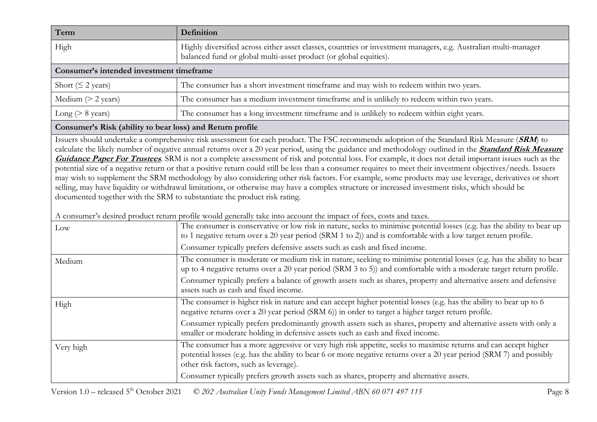| Term                                     | <b>Definition</b>                                                                                                                                                                    |  |
|------------------------------------------|--------------------------------------------------------------------------------------------------------------------------------------------------------------------------------------|--|
| High                                     | Highly diversified across either asset classes, countries or investment managers, e.g. Australian multi-manager<br>balanced fund or global multi-asset product (or global equities). |  |
| Consumer's intended investment timeframe |                                                                                                                                                                                      |  |
| Short ( $\leq$ 2 years)                  | The consumer has a short investment timeframe and may wish to redeem within two years.                                                                                               |  |
| Medium $(> 2 \text{ years})$             | The consumer has a medium investment timeframe and is unlikely to redeem within two years.                                                                                           |  |
| Long ( $> 8$ years)                      | The consumer has a long investment timeframe and is unlikely to redeem within eight years.                                                                                           |  |

#### **Consumer's Risk (ability to bear loss) and Return profile**

Issuers should undertake a comprehensive risk assessment for each product. The FSC recommends adoption of the Standard Risk Measure (**SRM**) to calculate the likely number of negative annual returns over a 20 year period, using the guidance and methodology outlined in the **[Standard Risk Measure](https://protect-eu.mimecast.com/s/pqPaCwVNmtGRQpvMFVpVgu?domain=urldefense.com)  [Guidance Paper For Trustees](https://protect-eu.mimecast.com/s/pqPaCwVNmtGRQpvMFVpVgu?domain=urldefense.com)**. SRM is not a complete assessment of risk and potential loss. For example, it does not detail important issues such as the potential size of a negative return or that a positive return could still be less than a consumer requires to meet their investment objectives/needs. Issuers may wish to supplement the SRM methodology by also considering other risk factors. For example, some products may use leverage, derivatives or short selling, may have liquidity or withdrawal limitations, or otherwise may have a complex structure or increased investment risks, which should be documented together with the SRM to substantiate the product risk rating.

A consumer's desired product return profile would generally take into account the impact of fees, costs and taxes.

| Low       | <u>rome woma generally amento account the impact of recog coold and allow</u><br>The consumer is conservative or low risk in nature, seeks to minimise potential losses (e.g. has the ability to bear up<br>to 1 negative return over a 20 year period (SRM 1 to 2)) and is comfortable with a low target return profile.<br>Consumer typically prefers defensive assets such as cash and fixed income. |
|-----------|---------------------------------------------------------------------------------------------------------------------------------------------------------------------------------------------------------------------------------------------------------------------------------------------------------------------------------------------------------------------------------------------------------|
| Medium    | The consumer is moderate or medium risk in nature, seeking to minimise potential losses (e.g. has the ability to bear<br>up to 4 negative returns over a 20 year period (SRM 3 to 5)) and comfortable with a moderate target return profile.                                                                                                                                                            |
|           | Consumer typically prefers a balance of growth assets such as shares, property and alternative assets and defensive<br>assets such as cash and fixed income.                                                                                                                                                                                                                                            |
| High      | The consumer is higher risk in nature and can accept higher potential losses (e.g. has the ability to bear up to 6<br>negative returns over a 20 year period (SRM 6)) in order to target a higher target return profile.                                                                                                                                                                                |
|           | Consumer typically prefers predominantly growth assets such as shares, property and alternative assets with only a<br>smaller or moderate holding in defensive assets such as cash and fixed income.                                                                                                                                                                                                    |
| Very high | The consumer has a more aggressive or very high risk appetite, seeks to maximise returns and can accept higher<br>potential losses (e.g. has the ability to bear 6 or more negative returns over a 20 year period (SRM 7) and possibly<br>other risk factors, such as leverage).                                                                                                                        |
|           | Consumer typically prefers growth assets such as shares, property and alternative assets.                                                                                                                                                                                                                                                                                                               |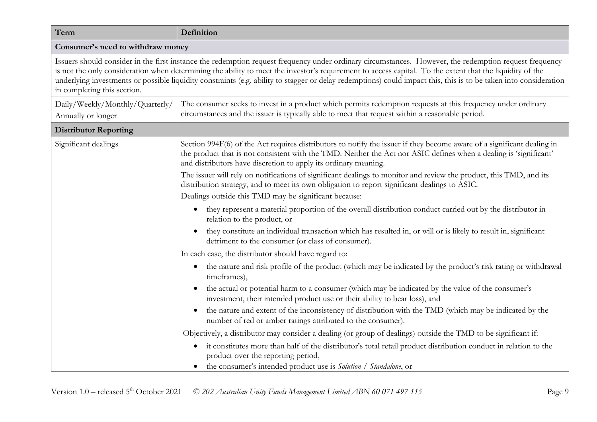| Consumer's need to withdraw money                                                                                                                                                                                                                                                                                                                                                                                                                                                       |
|-----------------------------------------------------------------------------------------------------------------------------------------------------------------------------------------------------------------------------------------------------------------------------------------------------------------------------------------------------------------------------------------------------------------------------------------------------------------------------------------|
|                                                                                                                                                                                                                                                                                                                                                                                                                                                                                         |
| Issuers should consider in the first instance the redemption request frequency under ordinary circumstances. However, the redemption request frequency<br>is not the only consideration when determining the ability to meet the investor's requirement to access capital. To the extent that the liquidity of the<br>underlying investments or possible liquidity constraints (e.g. ability to stagger or delay redemptions) could impact this, this is to be taken into consideration |
| The consumer seeks to invest in a product which permits redemption requests at this frequency under ordinary<br>circumstances and the issuer is typically able to meet that request within a reasonable period.                                                                                                                                                                                                                                                                         |
|                                                                                                                                                                                                                                                                                                                                                                                                                                                                                         |
| Section 994F(6) of the Act requires distributors to notify the issuer if they become aware of a significant dealing in<br>the product that is not consistent with the TMD. Neither the Act nor ASIC defines when a dealing is 'significant'<br>and distributors have discretion to apply its ordinary meaning.                                                                                                                                                                          |
| The issuer will rely on notifications of significant dealings to monitor and review the product, this TMD, and its<br>distribution strategy, and to meet its own obligation to report significant dealings to ASIC.                                                                                                                                                                                                                                                                     |
| Dealings outside this TMD may be significant because:<br>they represent a material proportion of the overall distribution conduct carried out by the distributor in<br>$\bullet$<br>relation to the product, or                                                                                                                                                                                                                                                                         |
| they constitute an individual transaction which has resulted in, or will or is likely to result in, significant<br>detriment to the consumer (or class of consumer).                                                                                                                                                                                                                                                                                                                    |
| In each case, the distributor should have regard to:                                                                                                                                                                                                                                                                                                                                                                                                                                    |
| the nature and risk profile of the product (which may be indicated by the product's risk rating or withdrawal<br>$\bullet$<br>timeframes),                                                                                                                                                                                                                                                                                                                                              |
| the actual or potential harm to a consumer (which may be indicated by the value of the consumer's<br>investment, their intended product use or their ability to bear loss), and                                                                                                                                                                                                                                                                                                         |
| the nature and extent of the inconsistency of distribution with the TMD (which may be indicated by the<br>$\bullet$<br>number of red or amber ratings attributed to the consumer).                                                                                                                                                                                                                                                                                                      |
| Objectively, a distributor may consider a dealing (or group of dealings) outside the TMD to be significant if:                                                                                                                                                                                                                                                                                                                                                                          |
| it constitutes more than half of the distributor's total retail product distribution conduct in relation to the<br>$\bullet$<br>product over the reporting period,<br>the consumer's intended product use is Solution / Standalone, or                                                                                                                                                                                                                                                  |
|                                                                                                                                                                                                                                                                                                                                                                                                                                                                                         |